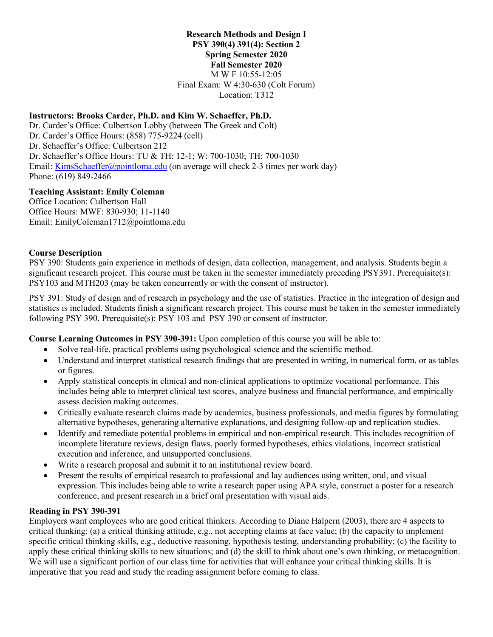#### **Research Methods and Design I PSY 390(4) 391(4): Section 2 Spring Semester 2020 Fall Semester 2020** M W F 10:55-12:05 Final Exam: W 4:30-630 (Colt Forum) Location: T312

## **Instructors: Brooks Carder, Ph.D. and Kim W. Schaeffer, Ph.D.**

Dr. Carder's Office: Culbertson Lobby (between The Greek and Colt) Dr. Carder's Office Hours: (858) 775-9224 (cell) Dr. Schaeffer's Office: Culbertson 212 Dr. Schaeffer's Office Hours: TU & TH: 12-1; W: 700-1030; TH: 700-1030 Email: [KimsSchaeffer@pointloma.edu](mailto:KimsSchaeffer@pointloma.edu) (on average will check 2-3 times per work day) Phone: (619) 849-2466

## **Teaching Assistant: Emily Coleman**

Office Location: Culbertson Hall Office Hours: MWF: 830-930; 11-1140 Email: EmilyColeman1712@pointloma.edu

## **Course Description**

PSY 390: Students gain experience in methods of design, data collection, management, and analysis. Students begin a significant research project. This course must be taken in the semester immediately preceding PSY391. Prerequisite(s): PSY103 and MTH203 (may be taken concurrently or with the consent of instructor).

PSY 391: Study of design and of research in psychology and the use of statistics. Practice in the integration of design and statistics is included. Students finish a significant research project. This course must be taken in the semester immediately following PSY 390. Prerequisite(s): PSY 103 and PSY 390 or consent of instructor.

**Course Learning Outcomes in PSY 390-391:** Upon completion of this course you will be able to:

- Solve real-life, practical problems using psychological science and the scientific method.
- Understand and interpret statistical research findings that are presented in writing, in numerical form, or as tables or figures.
- Apply statistical concepts in clinical and non-clinical applications to optimize vocational performance. This includes being able to interpret clinical test scores, analyze business and financial performance, and empirically assess decision making outcomes.
- Critically evaluate research claims made by academics, business professionals, and media figures by formulating alternative hypotheses, generating alternative explanations, and designing follow-up and replication studies.
- Identify and remediate potential problems in empirical and non-empirical research. This includes recognition of incomplete literature reviews, design flaws, poorly formed hypotheses, ethics violations, incorrect statistical execution and inference, and unsupported conclusions.
- Write a research proposal and submit it to an institutional review board.
- Present the results of empirical research to professional and lay audiences using written, oral, and visual expression. This includes being able to write a research paper using APA style, construct a poster for a research conference, and present research in a brief oral presentation with visual aids.

## **Reading in PSY 390-391**

Employers want employees who are good critical thinkers. According to Diane Halpern (2003), there are 4 aspects to critical thinking: (a) a critical thinking attitude, e.g., not accepting claims at face value; (b) the capacity to implement specific critical thinking skills, e.g., deductive reasoning, hypothesis testing, understanding probability; (c) the facility to apply these critical thinking skills to new situations; and (d) the skill to think about one's own thinking, or metacognition. We will use a significant portion of our class time for activities that will enhance your critical thinking skills. It is imperative that you read and study the reading assignment before coming to class.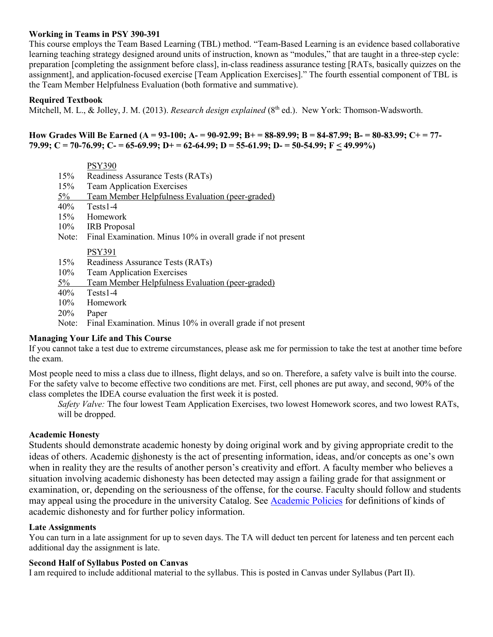#### **Working in Teams in PSY 390-391**

This course employs the Team Based Learning (TBL) method. "Team-Based Learning is an evidence based collaborative learning teaching strategy designed around units of instruction, known as "modules," that are taught in a three-step cycle: preparation [completing the assignment before class], in-class readiness assurance testing [RATs, basically quizzes on the assignment], and application-focused exercise [Team Application Exercises]." The fourth essential component of TBL is the Team Member Helpfulness Evaluation (both formative and summative).

## **Required Textbook**

Mitchell, M. L., & Jolley, J. M. (2013). *Research design explained* (8<sup>th</sup> ed.). New York: Thomson-Wadsworth.

#### **How Grades Will Be Earned (A = 93-100; A- = 90-92.99; B+ = 88-89.99; B = 84-87.99; B- = 80-83.99; C+ = 77- 79.99; C = 70-76.99; C- = 65-69.99; D+ = 62-64.99; D = 55-61.99; D- = 50-54.99; F < 49.99%)**

|            | <b>PSY390</b>                                                |  |  |
|------------|--------------------------------------------------------------|--|--|
| 15%        | Readiness Assurance Tests (RATs)                             |  |  |
| 15%        | <b>Team Application Exercises</b>                            |  |  |
| $5\%$      | Team Member Helpfulness Evaluation (peer-graded)             |  |  |
| 40%        | $Tests1-4$                                                   |  |  |
| 15%        | Homework                                                     |  |  |
| 10%        | <b>IRB</b> Proposal                                          |  |  |
| Note:      | Final Examination. Minus 10% in overall grade if not present |  |  |
|            | <b>PSY391</b>                                                |  |  |
| 15%        | Readiness Assurance Tests (RATs)                             |  |  |
| 10%        | <b>Team Application Exercises</b>                            |  |  |
| $5\%$      | Team Member Helpfulness Evaluation (peer-graded)             |  |  |
| 40%        | $Tests1-4$                                                   |  |  |
| 10%        | Homework                                                     |  |  |
| <b>20%</b> | Paper                                                        |  |  |
|            |                                                              |  |  |

Note: Final Examination. Minus 10% in overall grade if not present

#### **Managing Your Life and This Course**

If you cannot take a test due to extreme circumstances, please ask me for permission to take the test at another time before the exam.

Most people need to miss a class due to illness, flight delays, and so on. Therefore, a safety valve is built into the course. For the safety valve to become effective two conditions are met. First, cell phones are put away, and second, 90% of the class completes the IDEA course evaluation the first week it is posted.

*Safety Valve:* The four lowest Team Application Exercises, two lowest Homework scores, and two lowest RATs, will be dropped.

#### **Academic Honesty**

Students should demonstrate academic honesty by doing original work and by giving appropriate credit to the ideas of others. Academic dishonesty is the act of presenting information, ideas, and/or concepts as one's own when in reality they are the results of another person's creativity and effort. A faculty member who believes a situation involving academic dishonesty has been detected may assign a failing grade for that assignment or examination, or, depending on the seriousness of the offense, for the course. Faculty should follow and students may appeal using the procedure in the university Catalog. See [Academic Policies](http://catalog.pointloma.edu/content.php?catoid=18&navoid=1278) for definitions of kinds of academic dishonesty and for further policy information.

## **Late Assignments**

You can turn in a late assignment for up to seven days. The TA will deduct ten percent for lateness and ten percent each additional day the assignment is late.

## **Second Half of Syllabus Posted on Canvas**

I am required to include additional material to the syllabus. This is posted in Canvas under Syllabus (Part II).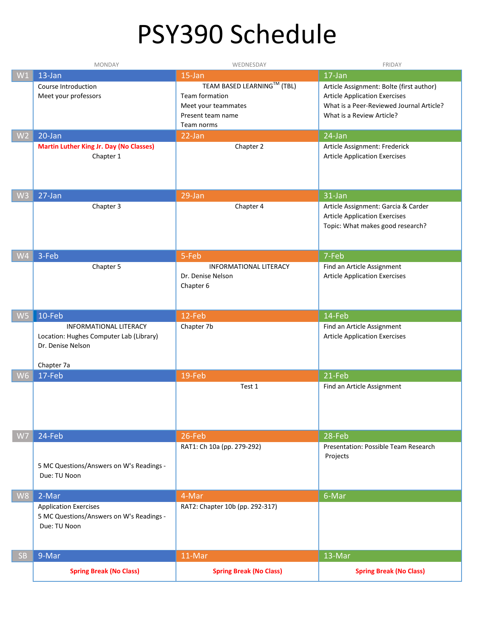# PSY390 Schedule

|                | <b>MONDAY</b>                                                                                               | WEDNESDAY                                                                                              | FRIDAY                                                                                                                                                    |
|----------------|-------------------------------------------------------------------------------------------------------------|--------------------------------------------------------------------------------------------------------|-----------------------------------------------------------------------------------------------------------------------------------------------------------|
| W1             | 13-Jan                                                                                                      | 15-Jan                                                                                                 | 17-Jan                                                                                                                                                    |
|                | Course Introduction<br>Meet your professors                                                                 | TEAM BASED LEARNING™ (TBL)<br>Team formation<br>Meet your teammates<br>Present team name<br>Team norms | Article Assignment: Bolte (first author)<br><b>Article Application Exercises</b><br>What is a Peer-Reviewed Journal Article?<br>What is a Review Article? |
| W <sub>2</sub> | 20-Jan                                                                                                      | 22-Jan                                                                                                 | 24-Jan                                                                                                                                                    |
|                | <b>Martin Luther King Jr. Day (No Classes)</b><br>Chapter 1                                                 | Chapter 2                                                                                              | Article Assignment: Frederick<br><b>Article Application Exercises</b>                                                                                     |
| W <sub>3</sub> | 27-Jan                                                                                                      | 29-Jan                                                                                                 | 31-Jan                                                                                                                                                    |
|                | Chapter 3                                                                                                   | Chapter 4                                                                                              | Article Assignment: Garcia & Carder<br><b>Article Application Exercises</b><br>Topic: What makes good research?                                           |
| W <sub>4</sub> | 3-Feb                                                                                                       | 5-Feb                                                                                                  | 7-Feb                                                                                                                                                     |
|                | Chapter 5                                                                                                   | <b>INFORMATIONAL LITERACY</b><br>Dr. Denise Nelson<br>Chapter 6                                        | Find an Article Assignment<br><b>Article Application Exercises</b>                                                                                        |
| W <sub>5</sub> | 10-Feb                                                                                                      | 12-Feb                                                                                                 | 14-Feb                                                                                                                                                    |
|                | <b>INFORMATIONAL LITERACY</b><br>Location: Hughes Computer Lab (Library)<br>Dr. Denise Nelson<br>Chapter 7a | Chapter 7b                                                                                             | Find an Article Assignment<br><b>Article Application Exercises</b>                                                                                        |
| W <sub>6</sub> | 17-Feb                                                                                                      | 19-Feb                                                                                                 | 21-Feb                                                                                                                                                    |
|                |                                                                                                             | Test 1                                                                                                 | Find an Article Assignment                                                                                                                                |
| W7             | 24-Feb                                                                                                      | 26-Feb                                                                                                 | 28-Feb                                                                                                                                                    |
|                | 5 MC Questions/Answers on W's Readings -<br>Due: TU Noon                                                    | RAT1: Ch 10a (pp. 279-292)                                                                             | Presentation: Possible Team Research<br>Projects                                                                                                          |
| W8             | 2-Mar                                                                                                       | 4-Mar                                                                                                  | 6-Mar                                                                                                                                                     |
|                | <b>Application Exercises</b><br>5 MC Questions/Answers on W's Readings -<br>Due: TU Noon                    | RAT2: Chapter 10b (pp. 292-317)                                                                        |                                                                                                                                                           |
| <b>SB</b>      | 9-Mar                                                                                                       | 11-Mar                                                                                                 | 13-Mar                                                                                                                                                    |
|                | <b>Spring Break (No Class)</b>                                                                              | <b>Spring Break (No Class)</b>                                                                         | <b>Spring Break (No Class)</b>                                                                                                                            |